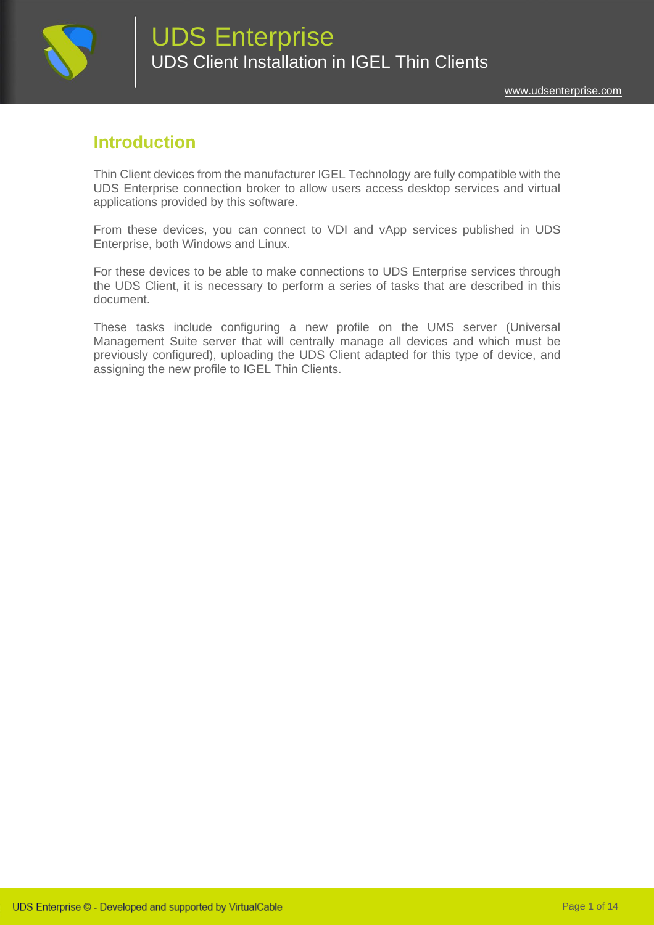

## **Introduction**

Thin Client devices from the manufacturer IGEL Technology are fully compatible with the UDS Enterprise connection broker to allow users access desktop services and virtual applications provided by this software.

From these devices, you can connect to VDI and vApp services published in UDS Enterprise, both Windows and Linux.

For these devices to be able to make connections to UDS Enterprise services through the UDS Client, it is necessary to perform a series of tasks that are described in this document.

These tasks include configuring a new profile on the UMS server (Universal Management Suite server that will centrally manage all devices and which must be previously configured), uploading the UDS Client adapted for this type of device, and assigning the new profile to IGEL Thin Clients.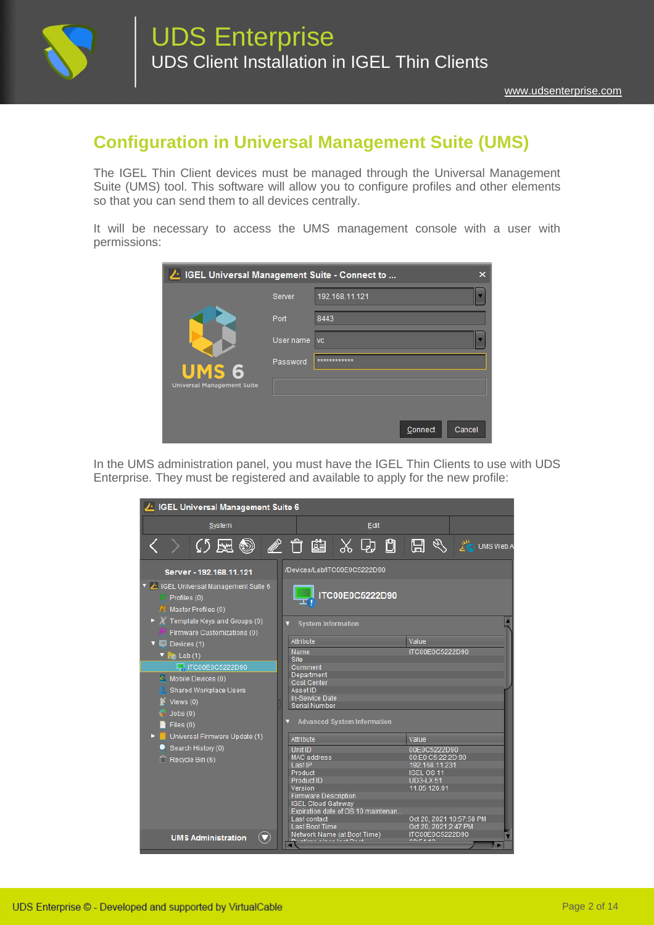

## **Configuration in Universal Management Suite (UMS)**

The IGEL Thin Client devices must be managed through the Universal Management Suite (UMS) tool. This software will allow you to configure profiles and other elements so that you can send them to all devices centrally.

It will be necessary to access the UMS management console with a user with permissions:



In the UMS administration panel, you must have the IGEL Thin Clients to use with UDS Enterprise. They must be registered and available to apply for the new profile:

| $\angle$ IGEL Universal Management Suite 6                                                                                                                                                                                                                                    |                                                                                                                                                                                                                                                                     |                                                                                                                                                                          |
|-------------------------------------------------------------------------------------------------------------------------------------------------------------------------------------------------------------------------------------------------------------------------------|---------------------------------------------------------------------------------------------------------------------------------------------------------------------------------------------------------------------------------------------------------------------|--------------------------------------------------------------------------------------------------------------------------------------------------------------------------|
| System                                                                                                                                                                                                                                                                        | Edit                                                                                                                                                                                                                                                                |                                                                                                                                                                          |
|                                                                                                                                                                                                                                                                               | $\mathfrak{O} \boxtimes \textcircled{\tiny{\bullet}}$ $\mathscr{L}$ $\mathring{\Box}$ $\overset{\circ}{\mathscr{S}}$ $\overset{\circ}{\mathscr{S}}$ $\overset{\circ}{\mathscr{A}}$ $\overset{\circ}{\mathscr{O}}$ $\overset{\circ}{\mathscr{S}}$                    | ES -<br>⊞<br>$\sum_{i=1}^{M}$ UMS Web A                                                                                                                                  |
| Server - 192.168.11.121                                                                                                                                                                                                                                                       | /Devices/Lab/ITC00E0C5222D90                                                                                                                                                                                                                                        |                                                                                                                                                                          |
| ▼ 2 IGEL Universal Management Suite 6<br>$\sqrt{ }$ Profiles (0)<br>M Master Profiles (0)                                                                                                                                                                                     | ITC00E0C5222D90                                                                                                                                                                                                                                                     |                                                                                                                                                                          |
| ▶ X Template Keys and Groups (0)<br>Firmware Customizations (0)<br>$\nabla$ $\Box$ Devices (1)<br>$\triangledown$ $\blacksquare$ Lab (1)<br>□ ITC00E0C5222D90<br>$\left  \frac{A}{2} \right $ Mobile Devices (0)<br>Shared Workplace Users<br>$\blacktriangleright$ Views (0) | <b>System Information</b><br>Attribute<br>Name<br>Site<br>Comment<br>Department<br>Cost Center<br>Asset ID<br>In-Service Date<br><b>Serial Number</b>                                                                                                               | Value<br>ITC00E0C5222D90                                                                                                                                                 |
| $\rightarrow$ Jobs (0)<br>$\blacksquare$ Files (0)<br>Universal Firmware Update (1)<br>Search History (0)<br>Recycle Bin (6)                                                                                                                                                  | <b>Advanced System Information</b><br>Attribute<br>Unit ID<br><b>MAC</b> address<br>Last IP<br>Product<br>Product ID<br>Version<br><b>Firmware Description</b><br><b>IGEL Cloud Gateway</b><br>Expiration date of OS 10 maintenan<br>Last contact<br>Last Boot Time | Value<br>00E0C5222D90<br>00:E0:C5:22:2D:90<br>192.168.11.231<br><b>IGEL OS 11</b><br><b>UD3-LX51</b><br>11.05.120.01<br>Oct 20, 2021 10:57:58 PM<br>Oct 20, 2021 2:47 PM |
| $\bf \Omega$<br><b>UMS Administration</b>                                                                                                                                                                                                                                     | Network Name (at Boot Time)                                                                                                                                                                                                                                         | ITC00F0C5222D90<br><b>OO-FALAO</b>                                                                                                                                       |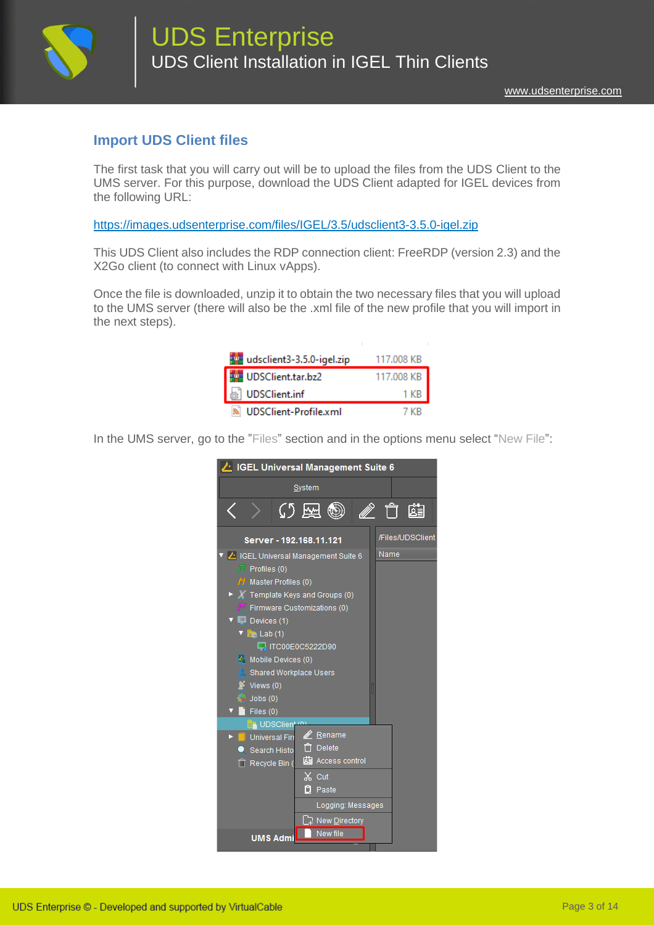

### **Import UDS Client files**

The first task that you will carry out will be to upload the files from the UDS Client to the UMS server. For this purpose, download the UDS Client adapted for IGEL devices from the following URL:

<https://images.udsenterprise.com/files/IGEL/3.5/udsclient3-3.5.0-igel.zip>

This UDS Client also includes the RDP connection client: FreeRDP (version 2.3) and the X2Go client (to connect with Linux vApps).

Once the file is downloaded, unzip it to obtain the two necessary files that you will upload to the UMS server (there will also be the .xml file of the new profile that you will import in the next steps).

| udsclient3-3.5.0-igel.zip | 117,008 KB |
|---------------------------|------------|
| UDSClient.tar.bz2         | 117.008 KB |
| <b>B</b> UDSClient.inf    | 1 KB       |
| N UDSClient-Profile.xml   | 7 KR       |

In the UMS server, go to the "Files" section and in the options menu select "New File":

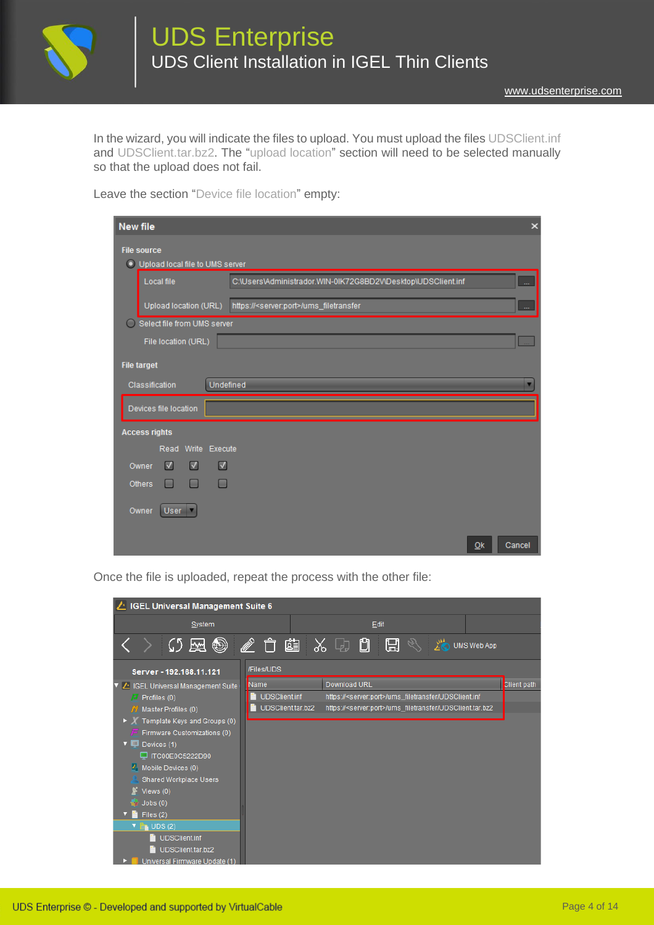

# UDS Enterprise UDS Client Installation in IGEL Thin Clients

In the wizard, you will indicate the files to upload. You must upload the files UDSClient.inf and UDSClient.tar.bz2. The "upload location" section will need to be selected manually so that the upload does not fail.

Leave the section "Device file location" empty:

| <b>New file</b>                   | $\boldsymbol{\mathsf{x}}$                                                                      |
|-----------------------------------|------------------------------------------------------------------------------------------------|
| <b>File source</b>                |                                                                                                |
| . Upload local file to UMS server |                                                                                                |
| Local file                        | C:\Users\Administrador.WIN-0IK72G8BD2V\Desktop\UDSClient.inf<br>$\ldots$                       |
| Upload location (URL)             | https:// <server:port>/ums_filetransfer<br/><math display="inline">\cdots</math></server:port> |
| Select file from UMS server<br>-  |                                                                                                |
| File location (URL)               |                                                                                                |
| <b>File target</b>                |                                                                                                |
| Classification                    | Undefined<br>▼                                                                                 |
| Devices file location             |                                                                                                |
| <b>Access rights</b>              |                                                                                                |
| Read Write Execute                |                                                                                                |
| ☑<br>☑<br>Owner                   | $\sqrt{ }$                                                                                     |
| □<br>□<br><b>Others</b>           | □                                                                                              |
| User <b>v</b><br>Owner            |                                                                                                |
|                                   | Qk<br>Cancel                                                                                   |

Once the file is uploaded, repeat the process with the other file:

| <b>IGEL Universal Management Suite 6</b>         |                                               |                                                                         |             |
|--------------------------------------------------|-----------------------------------------------|-------------------------------------------------------------------------|-------------|
| System                                           |                                               | Edit                                                                    |             |
| $\mathbb{C}$ by $\circledcirc$                   | $\mathbb Z$ to be $\mathbb Z$ and $\mathbb Z$ | ⊞<br>UMS Web App                                                        |             |
| Server - 192.168.11.121                          | /Files/UDS                                    |                                                                         |             |
| <b>∠</b> IGEL Universal Management Suite         | Name                                          | Download URL                                                            | Client path |
| $\Box$ Profiles (0)                              | <b>UDSClient.inf</b>                          | https:// <server:port>/ums_filetransfer/UDSClient.inf</server:port>     |             |
| $f$ / Master Profiles (0)                        | UDSClient.tar.bz2                             | https:// <server.port>/ums_filetransfer/UDSClient.tar.bz2</server.port> |             |
| ▶ X Template Keys and Groups (0)                 |                                               |                                                                         |             |
| Firmware Customizations (0)                      |                                               |                                                                         |             |
| $\nabla$ $\Box$ Devices (1)                      |                                               |                                                                         |             |
| □ ITC00E0C5222D90                                |                                               |                                                                         |             |
| $\left  \frac{d}{dx} \right $ Mobile Devices (0) |                                               |                                                                         |             |
| <b>Shared Workplace Users</b>                    |                                               |                                                                         |             |
| Views (0)                                        |                                               |                                                                         |             |
| Jobs(0)                                          |                                               |                                                                         |             |
| Files (2)                                        |                                               |                                                                         |             |
| $\blacksquare$ UDS (2)                           |                                               |                                                                         |             |
| <b>UDSClient.inf</b>                             |                                               |                                                                         |             |
| UDSClient.tar.bz2                                |                                               |                                                                         |             |
| Universal Firmware Update (1)                    |                                               |                                                                         |             |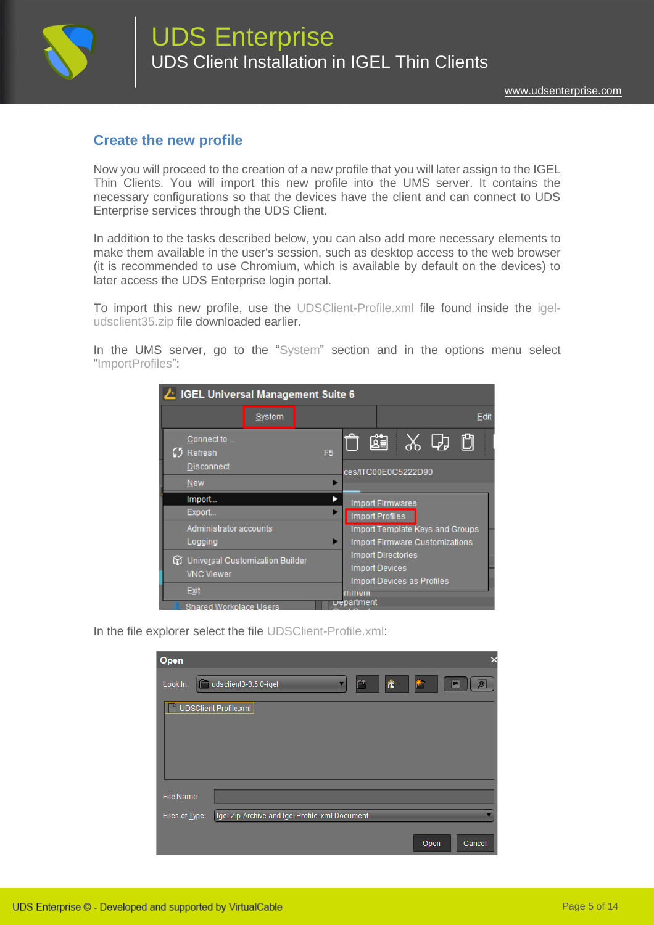

# UDS Enterprise UDS Client Installation in IGEL Thin Clients

#### **Create the new profile**

Now you will proceed to the creation of a new profile that you will later assign to the IGEL Thin Clients. You will import this new profile into the UMS server. It contains the necessary configurations so that the devices have the client and can connect to UDS Enterprise services through the UDS Client.

In addition to the tasks described below, you can also add more necessary elements to make them available in the user's session, such as desktop access to the web browser (it is recommended to use Chromium, which is available by default on the devices) to later access the UDS Enterprise login portal.

To import this new profile, use the UDSClient-Profile.xml file found inside the igeludsclient35.zip file downloaded earlier.

In the UMS server, go to the "System" section and in the options menu select "ImportProfiles":

| $\angle$ : IGEL Universal Management Suite 6                       |        |                |                          |                                                                                             |     |   |      |
|--------------------------------------------------------------------|--------|----------------|--------------------------|---------------------------------------------------------------------------------------------|-----|---|------|
|                                                                    | System |                |                          |                                                                                             |     |   | Edit |
| Connect to<br>Refresh<br>Disconnect<br>New                         |        | F <sub>5</sub> |                          | 陶<br>ces/ITC00E0C5222D90                                                                    | X 中 | M |      |
| Import<br>Export<br>Administrator accounts                         |        |                |                          | <b>Import Firmwares</b><br><b>Import Profiles</b><br>Import Template Keys and Groups        |     |   |      |
| Logging<br>to Universal Customization Builder<br><b>VNC Viewer</b> |        |                |                          | <b>Import Firmware Customizations</b><br><b>Import Directories</b><br><b>Import Devices</b> |     |   |      |
| Exit<br>Shared Workplace Users                                     |        |                | mment<br>$\nu$ epartment | Import Devices as Profiles                                                                  |     |   |      |

In the file explorer select the file UDSClient-Profile.xml:

| Open           |                                                 | ×              |
|----------------|-------------------------------------------------|----------------|
| Look In:       | $*$<br>侖<br>rt,<br>udsclient3-3.5.0-igel        | 圄<br>画         |
|                | UDSClient-Profile.xml                           |                |
|                |                                                 |                |
|                |                                                 |                |
|                |                                                 |                |
| File Name:     |                                                 |                |
| Files of Type: | Igel Zip-Archive and Igel Profile .xml Document |                |
|                |                                                 | Open<br>Cancel |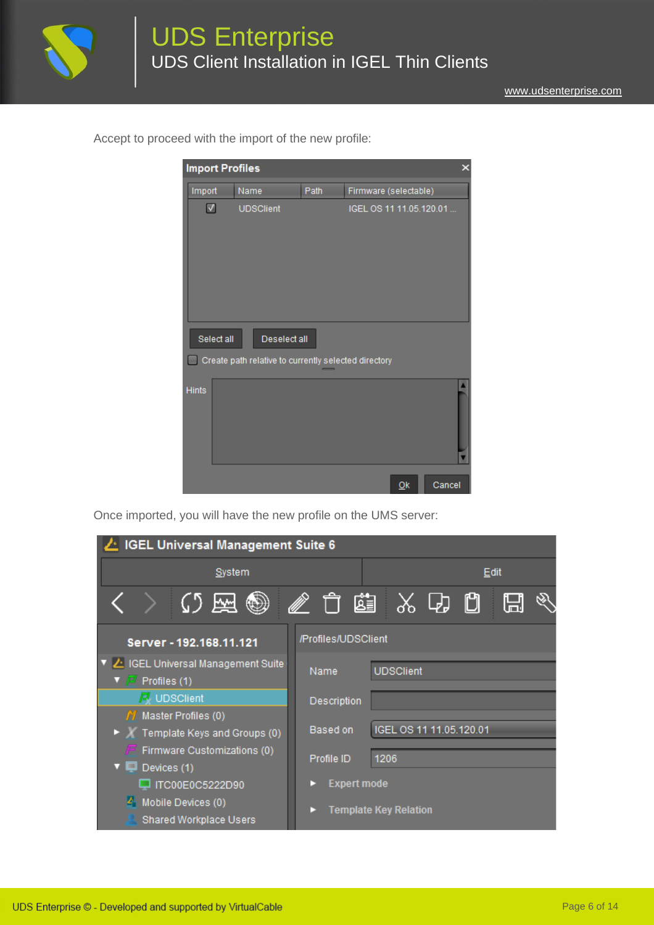

Accept to proceed with the import of the new profile:



Once imported, you will have the new profile on the UMS server:

| L IGEL Universal Management Suite 6                                                                        |                                                                    |
|------------------------------------------------------------------------------------------------------------|--------------------------------------------------------------------|
| System                                                                                                     | Edit                                                               |
| $\mathbb{C}$ M $\circledcirc$                                                                              | $\mathbb Z$ û $\mathbb Z$ $\mathbb Q$ $\mathbb Z$ $\mathbb Z$<br>H |
| Server - 192.168.11.121                                                                                    | /Profiles/UDSClient                                                |
| <b>Z:</b> IGEL Universal Management Suite<br>$\blacksquare$ Profiles (1)                                   | <b>UDSClient</b><br>Name                                           |
| UDSClient                                                                                                  | <b>Description</b>                                                 |
| $\frac{N}{N}$ Master Profiles (0)<br>Template Keys and Groups (0)<br>$\bar{P}$ Firmware Customizations (0) | IGEL OS 11 11.05.120.01<br>Based on                                |
| $\blacktriangledown$ $\blacksquare$ Devices (1)                                                            | Profile ID<br>1206                                                 |
| T ITC00E0C5222D90                                                                                          | <b>Expert mode</b>                                                 |
| $4$ Mobile Devices (0)                                                                                     | <b>Template Key Relation</b>                                       |
| Shared Workplace Users                                                                                     |                                                                    |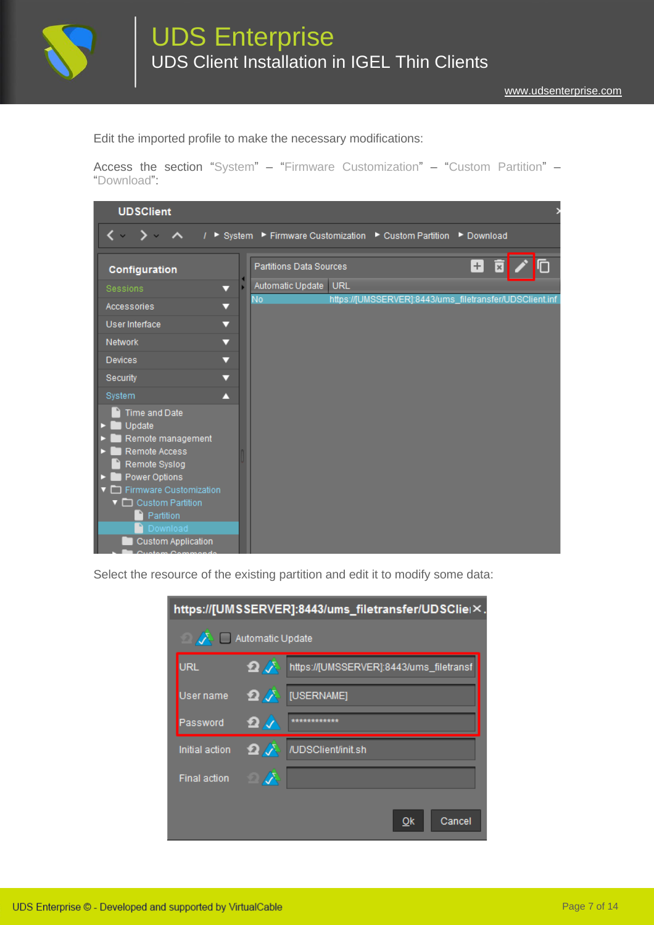

Edit the imported profile to make the necessary modifications:

Access the section "System" – "Firmware Customization" – "Custom Partition" – "Download":

| <b>UDSClient</b>                                                                                                                                                                                 |   |                         |                                                                 |     |  |
|--------------------------------------------------------------------------------------------------------------------------------------------------------------------------------------------------|---|-------------------------|-----------------------------------------------------------------|-----|--|
|                                                                                                                                                                                                  |   |                         | ▶ System ▶ Firmware Customization ▶ Custom Partition ▶ Download |     |  |
| Configuration                                                                                                                                                                                    |   | Partitions Data Sources |                                                                 | $+$ |  |
| <b>Sessions</b>                                                                                                                                                                                  | ⊽ | Automatic Update        | <b>URL</b>                                                      |     |  |
| Accessories                                                                                                                                                                                      | □ | No                      | https://[UMSSERVER]:8443/ums_filetransfer/UDSClient.inf         |     |  |
| User Interface                                                                                                                                                                                   | u |                         |                                                                 |     |  |
| Network                                                                                                                                                                                          | ⊽ |                         |                                                                 |     |  |
| Devices                                                                                                                                                                                          | □ |                         |                                                                 |     |  |
| Security                                                                                                                                                                                         | ⊽ |                         |                                                                 |     |  |
| System                                                                                                                                                                                           | π |                         |                                                                 |     |  |
| Time and Date<br>Update<br>Remote management<br>Remote Access<br>Remote Syslog<br>Power Options<br>Firmware Customization<br>▼ □ Custom Partition<br>Partition<br>Download<br>Custom Application |   |                         |                                                                 |     |  |

Select the resource of the existing partition and edit it to modify some data:

|                |                                           | https://[UMSSERVER]:8443/ums_filetransfer/UDSClie $\times$ . |
|----------------|-------------------------------------------|--------------------------------------------------------------|
| $\mathbf{A}$   | Automatic Update                          |                                                              |
| <b>URL</b>     | 2 A                                       | https://[UMSSERVER]:8443/ums_filetransf                      |
| User name      | 2人                                        | [USERNAME]                                                   |
| Password       | $\boldsymbol{2} \boldsymbol{\mathcal{N}}$ |                                                              |
| Initial action | 2 Æ                                       | /UDSClient/init.sh                                           |
| Final action   | $\circ$ $\alpha$                          |                                                              |
|                |                                           | Cancel<br>Οk                                                 |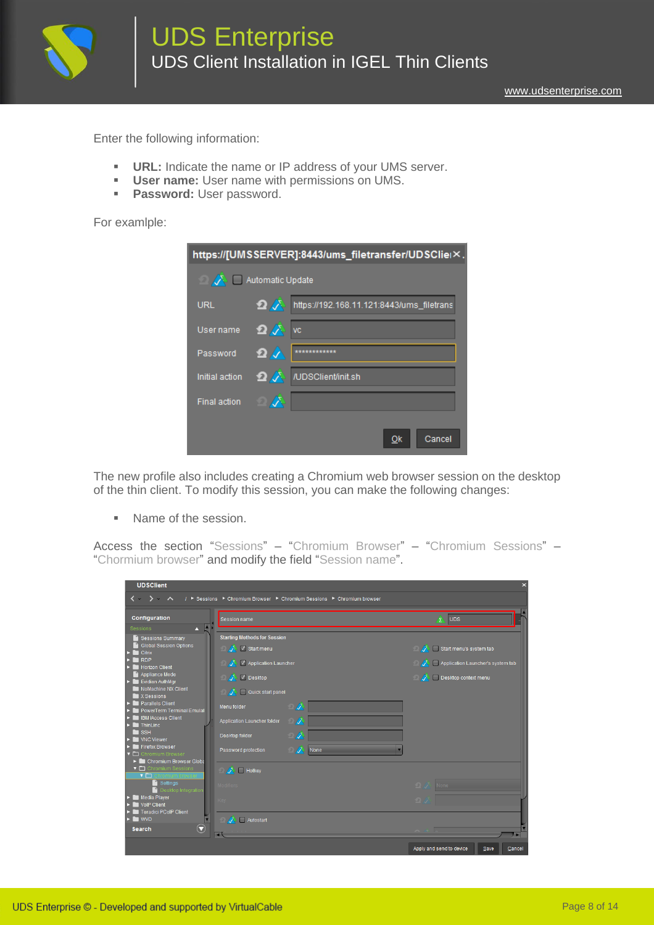

Enter the following information:

- **URL:** Indicate the name or IP address of your UMS server.
- **User name:** User name with permissions on UMS.
- **Password:** User password.

For examlple:



The new profile also includes creating a Chromium web browser session on the desktop of the thin client. To modify this session, you can make the following changes:

■ Name of the session.

Access the section "Sessions" – "Chromium Browser" – "Chromium Sessions" – "Chormium browser" and modify the field "Session name".

| <b>UDSClient</b>                                                                                                                                                                                                                                                                                                                                                                                       |                                                                                                                                                                                                                                                                                                           | $\overline{\mathsf{x}}$                                                              |
|--------------------------------------------------------------------------------------------------------------------------------------------------------------------------------------------------------------------------------------------------------------------------------------------------------------------------------------------------------------------------------------------------------|-----------------------------------------------------------------------------------------------------------------------------------------------------------------------------------------------------------------------------------------------------------------------------------------------------------|--------------------------------------------------------------------------------------|
| くぃ                                                                                                                                                                                                                                                                                                                                                                                                     | > A / ► Sessions ► Chromium Browser ► Chromium Sessions ► Chromium browser                                                                                                                                                                                                                                |                                                                                      |
| Configuration                                                                                                                                                                                                                                                                                                                                                                                          | <b>Session name</b>                                                                                                                                                                                                                                                                                       | <b>UDS</b><br>ZΝ                                                                     |
| $\vert\blacktriangle$<br><b>Sessions</b><br>$\mathbf{A}$<br>Sessions Summary<br><b>Global Session Options</b><br>Citrix<br><b>RDP</b><br><b>Horizon Client</b><br>Appliance Mode<br><b>Evidian AuthMgr</b><br>NoMachine NX Client<br>X Sessions<br>Parallels Client<br>PowerTerm Terminal Emulat<br><b>IBM iAccess Client</b><br>ThinLinc<br>$\blacksquare$ SSH<br><b>NO Viewer</b><br>Firefox Browser | <b>Starting Methods for Session</b><br>$\sqrt{\phantom{a}}$ $\sqrt{\phantom{a}}$ Start menu<br><b>A</b> √ Application Launcher<br>A V Desktop<br><b>AND Quick start panel</b><br>$\sqrt{}$<br>Menu folder<br>Application Launcher folder<br>₽<br>∕Х<br>Desktop folder<br>Æ<br>None<br>Password protection | Start menu's system tab<br>Application Launcher's system tab<br>Desktop context menu |
| ▼ □ Chromium Browser<br>> Chromium Browser Globa<br>▼ □ Chromium Sessions<br>▼□<br>Settings<br><b>Desktop Integration</b><br><b>Media Player</b><br><b>VolP Client</b><br>Teradici PColP Client<br>$\blacksquare$ WVD<br>$\left( \blacktriangledown \right)$<br><b>Search</b>                                                                                                                          | <b>ALL</b> Hotkey<br><b>Modifiers</b><br>Key<br><b>Autostart</b>                                                                                                                                                                                                                                          | None<br>$\Omega$                                                                     |
|                                                                                                                                                                                                                                                                                                                                                                                                        |                                                                                                                                                                                                                                                                                                           | Apply and send to device<br>Save<br>Cancel                                           |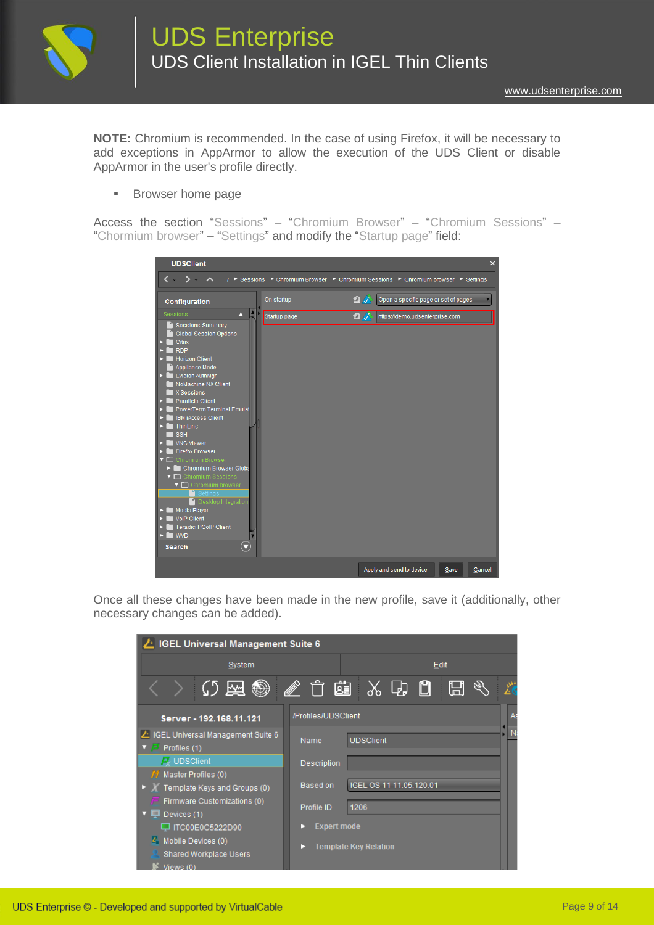

**NOTE:** Chromium is recommended. In the case of using Firefox, it will be necessary to add exceptions in AppArmor to allow the execution of the UDS Client or disable AppArmor in the user's profile directly.

■ Browser home page

Access the section "Sessions" – "Chromium Browser" – "Chromium Sessions" – "Chormium browser" – "Settings" and modify the "Startup page" field:



Once all these changes have been made in the new profile, save it (additionally, other necessary changes can be added).

| L. IGEL Universal Management Suite 6                                                                        |                                     |  |
|-------------------------------------------------------------------------------------------------------------|-------------------------------------|--|
| System                                                                                                      | Edit                                |  |
| (3) 函 (2)                                                                                                   | <i>●</i> 亡歯 ふ Qo D<br>Н             |  |
| Server - 192.168.11.121                                                                                     | /Profiles/UDSClient                 |  |
| <b>∠</b> IGEL Universal Management Suite 6<br>$\sqrt{2}$ Profiles (1)                                       | <b>UDSClient</b><br>Name            |  |
| <b>N</b> UDSClient                                                                                          | <b>Description</b>                  |  |
| $\sqrt{7}$ Master Profiles (0)<br>$\blacktriangleright$ X Template Keys and Groups (0)                      | IGEL OS 11 11.05.120.01<br>Based on |  |
| Firmware Customizations (0)<br>$\nabla \Box$ Devices (1)                                                    | Profile ID<br>1206                  |  |
| □ ITC00E0C5222D90                                                                                           | <b>Expert mode</b>                  |  |
| $\left  \frac{d}{dx} \right $ Mobile Devices (0)<br><b>Shared Workplace Users</b><br>$\mathbb{S}$ Views (0) | <b>Template Key Relation</b>        |  |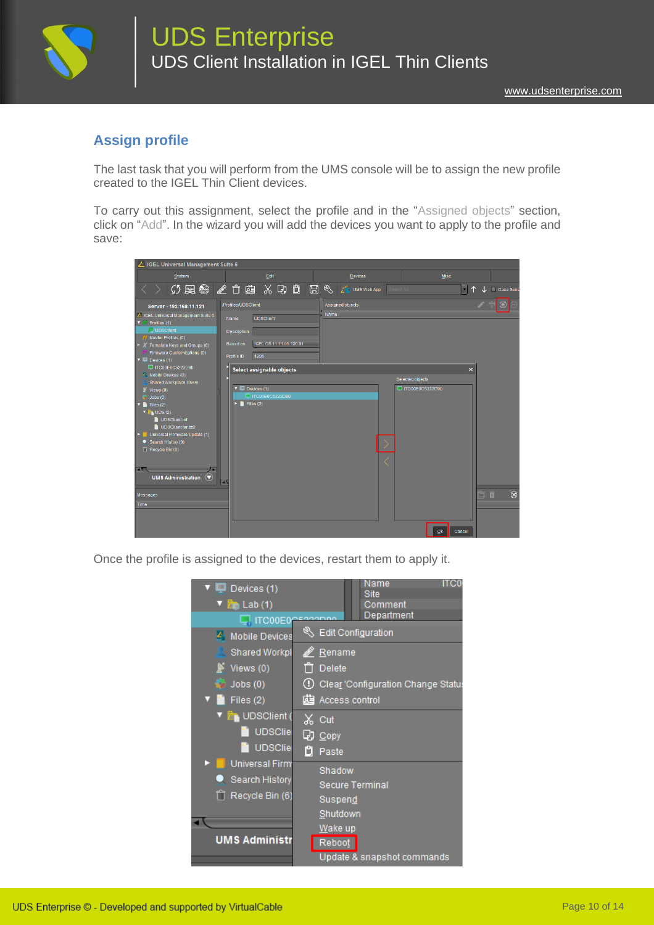

### **Assign profile**

The last task that you will perform from the UMS console will be to assign the new profile created to the IGEL Thin Client devices.

To carry out this assignment, select the profile and in the "Assigned objects" section, click on "Add". In the wizard you will add the devices you want to apply to the profile and save:



Once the profile is assigned to the devices, restart them to apply it.

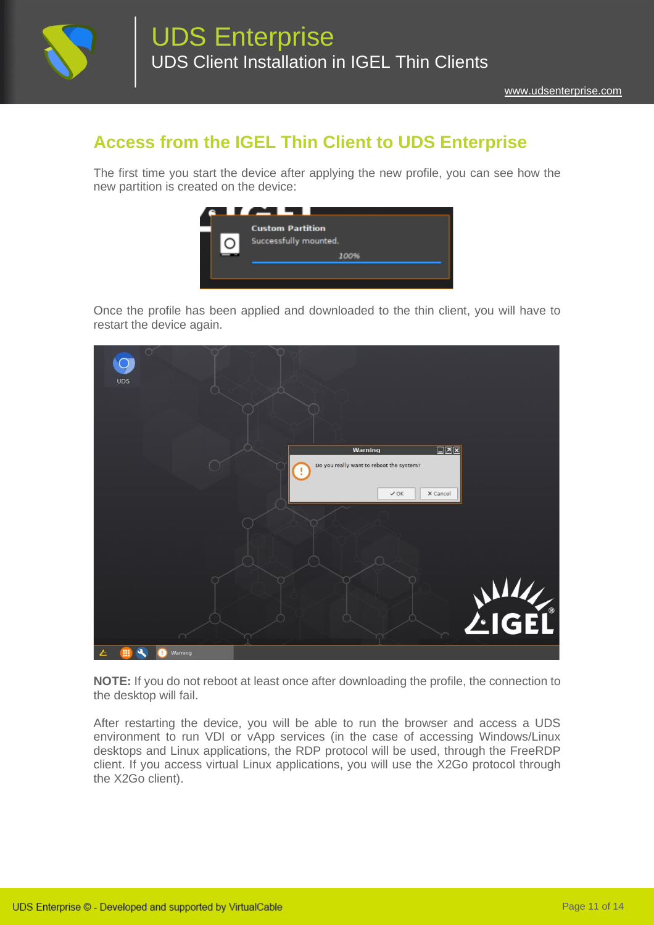

## **Access from the IGEL Thin Client to UDS Enterprise**

The first time you start the device after applying the new profile, you can see how the new partition is created on the device:



Once the profile has been applied and downloaded to the thin client, you will have to restart the device again.



**NOTE:** If you do not reboot at least once after downloading the profile, the connection to the desktop will fail.

After restarting the device, you will be able to run the browser and access a UDS environment to run VDI or vApp services (in the case of accessing Windows/Linux desktops and Linux applications, the RDP protocol will be used, through the FreeRDP client. If you access virtual Linux applications, you will use the X2Go protocol through the X2Go client).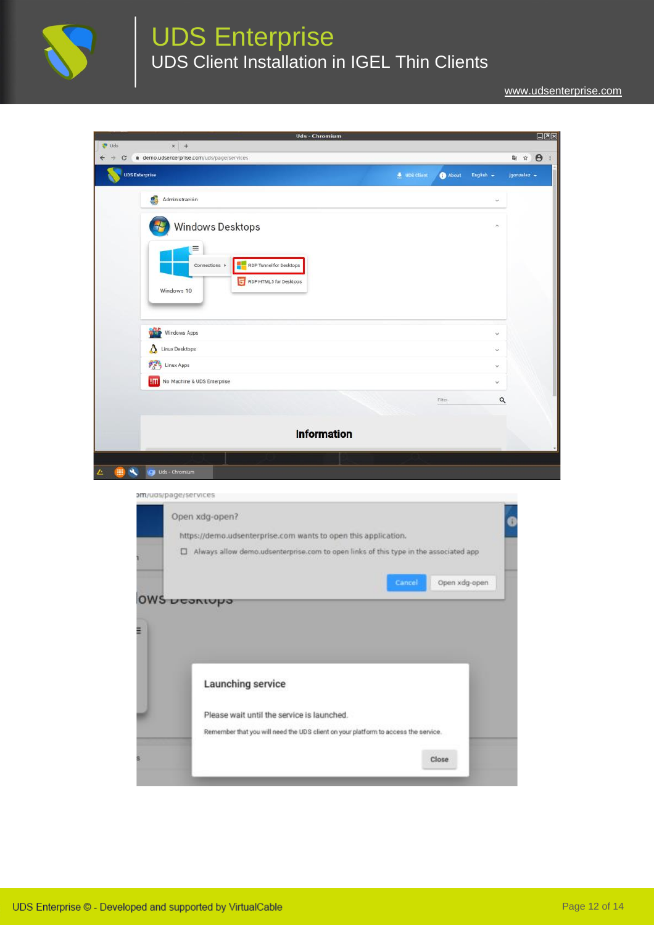

# UDS Enterprise UDS Client Installation in IGEL Thin Clients

[www.udsenterprise.com](http://www.udsenterprise.com/)

| Uds                                       | <b>Uds - Chromium</b><br>$x +$                                                               |                   |                         | DX       |
|-------------------------------------------|----------------------------------------------------------------------------------------------|-------------------|-------------------------|----------|
| $\rightarrow$ C<br>$\leftarrow$           | demo.udsenterprise.com/uds/page/services                                                     |                   | $\dot{\mathbf{M}}$<br>剛 | $\theta$ |
| <b>UDS Enterprise</b>                     | $\triangle$ ups client<br><b>O</b> About<br>English $\sim$                                   |                   | jgonzalez -             |          |
| G                                         | Administración                                                                               | $\checkmark$      |                         |          |
|                                           | <b>Windows Desktops</b>                                                                      | ۸                 |                         |          |
|                                           | $\equiv$<br>RDP Tunnel for Desktops<br>Connections ><br>RDP HTML5 for Desktops<br>Windows 10 |                   |                         |          |
| å,                                        | Windows Apps                                                                                 | v                 |                         |          |
| Ω                                         | Linux Desktops                                                                               | $\checkmark$      |                         |          |
| $\mathcal{F}^{\mathcal{A}}_{\mathcal{F}}$ | Linux Apps                                                                                   | $\checkmark$      |                         |          |
| !m                                        | No Machine & UDS Enterprise<br>Filter                                                        | $\checkmark$<br>Q |                         |          |
|                                           |                                                                                              |                   |                         |          |
|                                           | <b>Information</b>                                                                           |                   |                         |          |
|                                           |                                                                                              |                   |                         |          |
| ٠                                         | Uds - Chromium                                                                               |                   |                         |          |
|                                           | om/uds/page/services                                                                         |                   |                         |          |
|                                           | Open xdg-open?                                                                               |                   |                         |          |
|                                           | https://demo.udsenterprise.com wants to open this application.                               |                   |                         |          |
|                                           | □ Always allow demo.udsenterprise.com to open links of this type in the associated app       |                   |                         |          |
|                                           | Open xdg-open<br>Cancel                                                                      |                   |                         |          |
|                                           | OWS Deantupa                                                                                 |                   |                         |          |
|                                           |                                                                                              |                   |                         |          |
| Ξ                                         |                                                                                              |                   |                         |          |
|                                           |                                                                                              |                   |                         |          |
|                                           |                                                                                              |                   |                         |          |
|                                           | Launching service                                                                            |                   |                         |          |
|                                           | Please wait until the service is launched.                                                   |                   |                         |          |
|                                           | Remember that you will need the UDS client on your platform to access the service.           |                   |                         |          |
|                                           |                                                                                              |                   |                         |          |
|                                           | Close.                                                                                       |                   |                         |          |
|                                           |                                                                                              |                   |                         |          |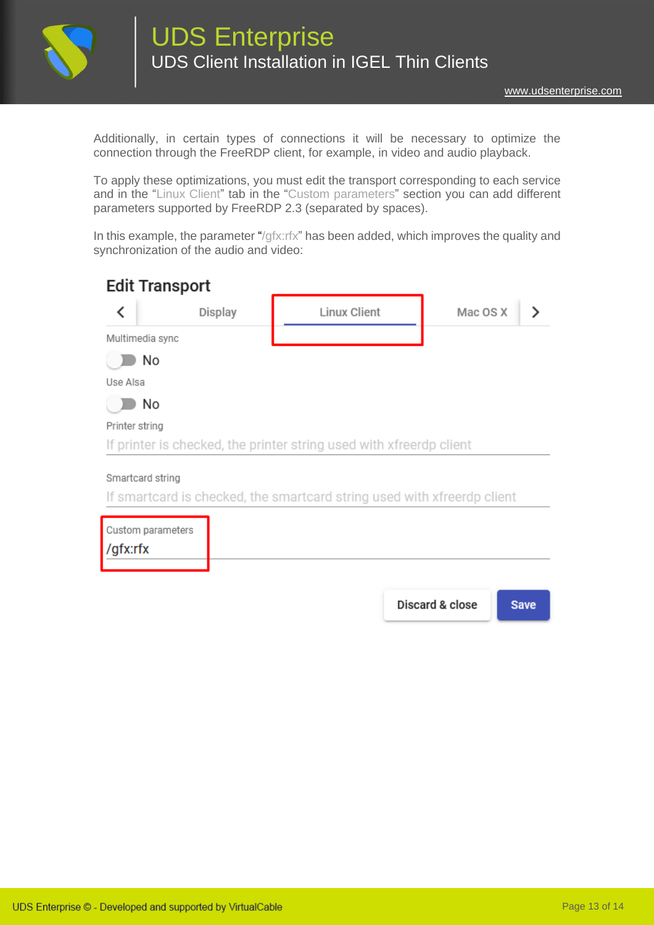

Additionally, in certain types of connections it will be necessary to optimize the connection through the FreeRDP client, for example, in video and audio playback.

To apply these optimizations, you must edit the transport corresponding to each service and in the "Linux Client" tab in the "Custom parameters" section you can add different parameters supported by FreeRDP 2.3 (separated by spaces).

In this example, the parameter "/gfx:rfx" has been added, which improves the quality and synchronization of the audio and video: